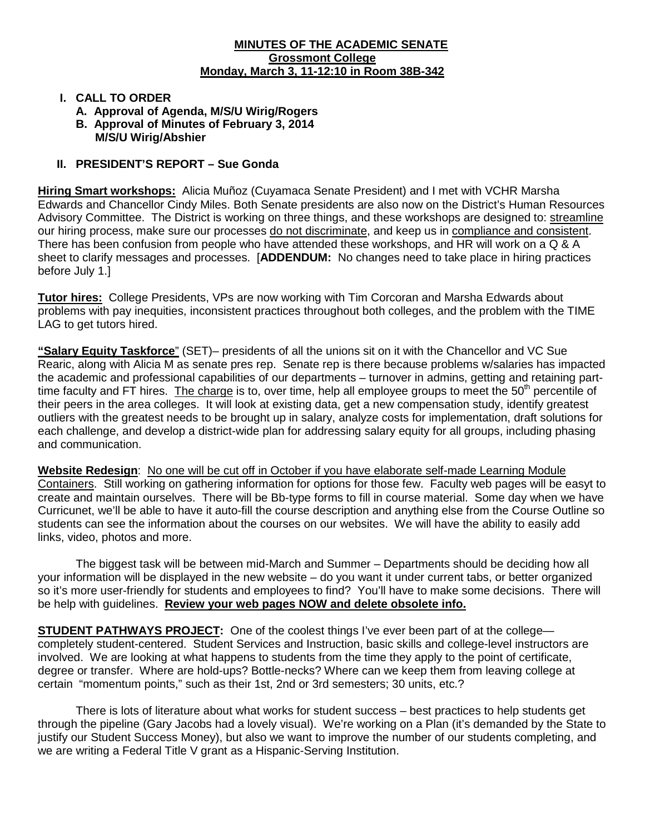#### **MINUTES OF THE ACADEMIC SENATE Grossmont College Monday, March 3, 11-12:10 in Room 38B-342**

### **I. CALL TO ORDER**

- **A. Approval of Agenda, M/S/U Wirig/Rogers**
- **B. Approval of Minutes of February 3, 2014 M/S/U Wirig/Abshier**

### **II. PRESIDENT'S REPORT – Sue Gonda**

**Hiring Smart workshops:** Alicia Muñoz (Cuyamaca Senate President) and I met with VCHR Marsha Edwards and Chancellor Cindy Miles. Both Senate presidents are also now on the District's Human Resources Advisory Committee. The District is working on three things, and these workshops are designed to: streamline our hiring process, make sure our processes do not discriminate, and keep us in compliance and consistent. There has been confusion from people who have attended these workshops, and HR will work on a Q & A sheet to clarify messages and processes. [**ADDENDUM:** No changes need to take place in hiring practices before July 1.]

**Tutor hires:** College Presidents, VPs are now working with Tim Corcoran and Marsha Edwards about problems with pay inequities, inconsistent practices throughout both colleges, and the problem with the TIME LAG to get tutors hired.

**"Salary Equity Taskforce**" (SET)– presidents of all the unions sit on it with the Chancellor and VC Sue Rearic, along with Alicia M as senate pres rep. Senate rep is there because problems w/salaries has impacted the academic and professional capabilities of our departments – turnover in admins, getting and retaining parttime faculty and FT hires. The charge is to, over time, help all employee groups to meet the 50<sup>th</sup> percentile of their peers in the area colleges. It will look at existing data, get a new compensation study, identify greatest outliers with the greatest needs to be brought up in salary, analyze costs for implementation, draft solutions for each challenge, and develop a district-wide plan for addressing salary equity for all groups, including phasing and communication.

**Website Redesign**: No one will be cut off in October if you have elaborate self-made Learning Module Containers. Still working on gathering information for options for those few. Faculty web pages will be easyt to create and maintain ourselves. There will be Bb-type forms to fill in course material. Some day when we have Curricunet, we'll be able to have it auto-fill the course description and anything else from the Course Outline so students can see the information about the courses on our websites. We will have the ability to easily add links, video, photos and more.

The biggest task will be between mid-March and Summer – Departments should be deciding how all your information will be displayed in the new website – do you want it under current tabs, or better organized so it's more user-friendly for students and employees to find? You'll have to make some decisions. There will be help with guidelines. **Review your web pages NOW and delete obsolete info.**

**STUDENT PATHWAYS PROJECT:** One of the coolest things I've ever been part of at the college completely student-centered. Student Services and Instruction, basic skills and college-level instructors are involved. We are looking at what happens to students from the time they apply to the point of certificate, degree or transfer. Where are hold-ups? Bottle-necks? Where can we keep them from leaving college at certain "momentum points," such as their 1st, 2nd or 3rd semesters; 30 units, etc.?

There is lots of literature about what works for student success – best practices to help students get through the pipeline (Gary Jacobs had a lovely visual). We're working on a Plan (it's demanded by the State to justify our Student Success Money), but also we want to improve the number of our students completing, and we are writing a Federal Title V grant as a Hispanic-Serving Institution.